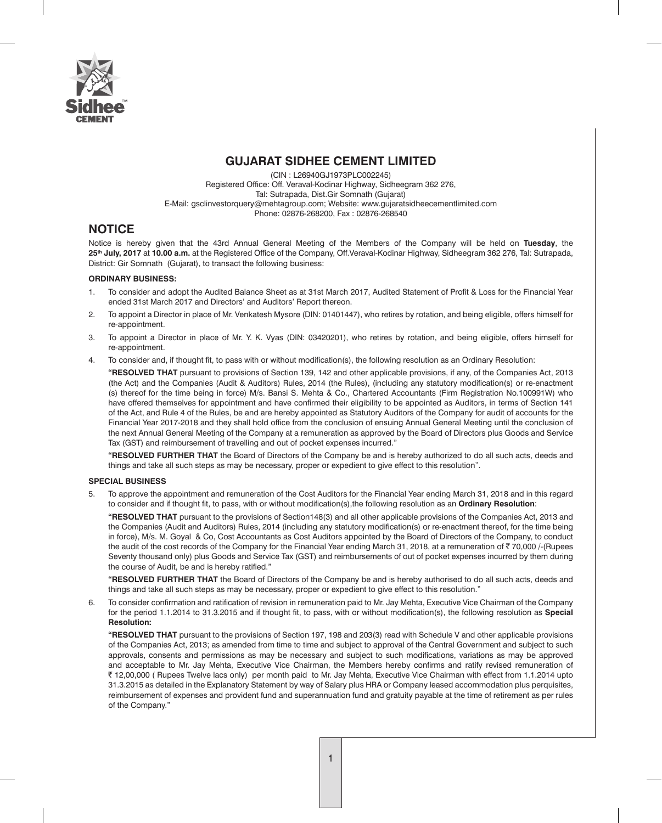

## **GUJARAT SIDHEE CEMENT LIMITED**

(CIN : L26940GJ1973PLC002245) Registered Office: Off. Veraval-Kodinar Highway, Sidheegram 362 276, Tal: Sutrapada, Dist.Gir Somnath (Gujarat) E-Mail: gsclinvestorquery@mehtagroup.com; Website: www.gujaratsidheecementlimited.com Phone: 02876-268200, Fax : 02876-268540

## **NOTICE**

Notice is hereby given that the 43rd Annual General Meeting of the Members of the Company will be held on **Tuesday**, the **25th July, 2017** at **10.00 a.m.** at the Registered Office of the Company, Off.Veraval-Kodinar Highway, Sidheegram 362 276, Tal: Sutrapada, District: Gir Somnath (Gujarat), to transact the following business:

### **ORDINARY BUSINESS:**

- 1. To consider and adopt the Audited Balance Sheet as at 31st March 2017, Audited Statement of Profit & Loss for the Financial Year ended 31st March 2017 and Directors' and Auditors' Report thereon.
- 2. To appoint a Director in place of Mr. Venkatesh Mysore (DIN: 01401447), who retires by rotation, and being eligible, offers himself for re-appointment.
- 3. To appoint a Director in place of Mr. Y. K. Vyas (DIN: 03420201), who retires by rotation, and being eligible, offers himself for re-appointment.
- 4. To consider and, if thought fit, to pass with or without modification(s), the following resolution as an Ordinary Resolution:

**"RESOLVED THAT** pursuant to provisions of Section 139, 142 and other applicable provisions, if any, of the Companies Act, 2013 (the Act) and the Companies (Audit & Auditors) Rules, 2014 (the Rules), (including any statutory modification(s) or re-enactment (s) thereof for the time being in force) M/s. Bansi S. Mehta & Co., Chartered Accountants (Firm Registration No.100991W) who have offered themselves for appointment and have confirmed their eligibility to be appointed as Auditors, in terms of Section 141 of the Act, and Rule 4 of the Rules, be and are hereby appointed as Statutory Auditors of the Company for audit of accounts for the Financial Year 2017-2018 and they shall hold office from the conclusion of ensuing Annual General Meeting until the conclusion of the next Annual General Meeting of the Company at a remuneration as approved by the Board of Directors plus Goods and Service Tax (GST) and reimbursement of travelling and out of pocket expenses incurred."

**"RESOLVED FURTHER THAT** the Board of Directors of the Company be and is hereby authorized to do all such acts, deeds and things and take all such steps as may be necessary, proper or expedient to give effect to this resolution".

### **SPECIAL BUSINESS**

5. To approve the appointment and remuneration of the Cost Auditors for the Financial Year ending March 31, 2018 and in this regard to consider and if thought fit, to pass, with or without modification(s),the following resolution as an **Ordinary Resolution**:

**"RESOLVED THAT** pursuant to the provisions of Section148(3) and all other applicable provisions of the Companies Act, 2013 and the Companies (Audit and Auditors) Rules, 2014 (including any statutory modification(s) or re-enactment thereof, for the time being in force), M/s. M. Goyal & Co, Cost Accountants as Cost Auditors appointed by the Board of Directors of the Company, to conduct the audit of the cost records of the Company for the Financial Year ending March 31, 2018, at a remuneration of ₹ 70,000 /-(Rupees Seventy thousand only) plus Goods and Service Tax (GST) and reimbursements of out of pocket expenses incurred by them during the course of Audit, be and is hereby ratified."

**"RESOLVED FURTHER THAT** the Board of Directors of the Company be and is hereby authorised to do all such acts, deeds and things and take all such steps as may be necessary, proper or expedient to give effect to this resolution."

6. To consider confirmation and ratification of revision in remuneration paid to Mr. Jay Mehta, Executive Vice Chairman of the Company for the period 1.1.2014 to 31.3.2015 and if thought fit, to pass, with or without modification(s), the following resolution as **Special Resolution:**

**"RESOLVED THAT** pursuant to the provisions of Section 197, 198 and 203(3) read with Schedule V and other applicable provisions of the Companies Act, 2013; as amended from time to time and subject to approval of the Central Government and subject to such approvals, consents and permissions as may be necessary and subject to such modifications, variations as may be approved and acceptable to Mr. Jay Mehta, Executive Vice Chairman, the Members hereby confirms and ratify revised remuneration of ` 12,00,000 ( Rupees Twelve lacs only) per month paid to Mr. Jay Mehta, Executive Vice Chairman with effect from 1.1.2014 upto 31.3.2015 as detailed in the Explanatory Statement by way of Salary plus HRA or Company leased accommodation plus perquisites, reimbursement of expenses and provident fund and superannuation fund and gratuity payable at the time of retirement as per rules of the Company."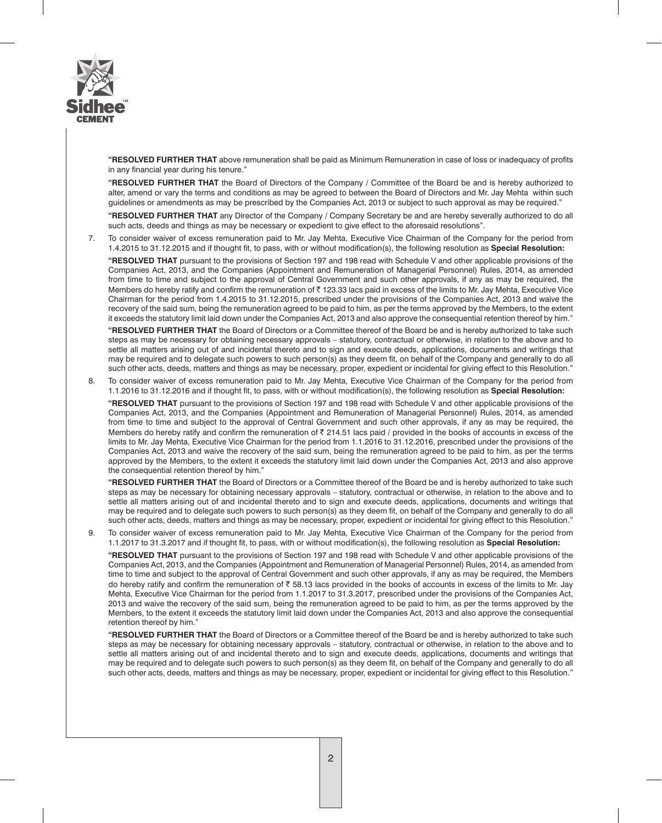

**"RESOLVED FURTHER THAT** above remuneration shall be paid as Minimum Remuneration in case of loss or inadequacy of profits in any financial year during his tenure."

**"RESOLVED FURTHER THAT** the Board of Directors of the Company / Committee of the Board be and is hereby authorized to alter, amend or vary the terms and conditions as may be agreed to between the Board of Directors and Mr. Jay Mehta within such guidelines or amendments as may be prescribed by the Companies Act, 2013 or subject to such approval as may be required."

**"RESOLVED FURTHER THAT** any Director of the Company / Company Secretary be and are hereby severally authorized to do all such acts, deeds and things as may be necessary or expedient to give effect to the aforesaid resolutions".

7. To consider waiver of excess remuneration paid to Mr. Jay Mehta, Executive Vice Chairman of the Company for the period from 1.4.2015 to 31.12.2015 and if thought fit, to pass, with or without modification(s), the following resolution as **Special Resolution:**

**"RESOLVED THAT** pursuant to the provisions of Section 197 and 198 read with Schedule V and other applicable provisions of the Companies Act, 2013, and the Companies (Appointment and Remuneration of Managerial Personnel) Rules, 2014, as amended from time to time and subject to the approval of Central Government and such other approvals, if any as may be required, the Members do hereby ratify and confirm the remuneration of ₹123.33 lacs paid in excess of the limits to Mr. Jay Mehta, Executive Vice Chairman for the period from 1.4.2015 to 31.12.2015, prescribed under the provisions of the Companies Act, 2013 and waive the recovery of the said sum, being the remuneration agreed to be paid to him, as per the terms approved by the Members, to the extent it exceeds the statutory limit laid down under the Companies Act, 2013 and also approve the consequential retention thereof by him."

**"RESOLVED FURTHER THAT** the Board of Directors or a Committee thereof of the Board be and is hereby authorized to take such steps as may be necessary for obtaining necessary approvals – statutory, contractual or otherwise, in relation to the above and to settle all matters arising out of and incidental thereto and to sign and execute deeds, applications, documents and writings that may be required and to delegate such powers to such person(s) as they deem fit, on behalf of the Company and generally to do all such other acts, deeds, matters and things as may be necessary, proper, expedient or incidental for giving effect to this Resolution."

8. To consider waiver of excess remuneration paid to Mr. Jay Mehta, Executive Vice Chairman of the Company for the period from 1.1.2016 to 31.12.2016 and if thought fit, to pass, with or without modification(s), the following resolution as **Special Resolution:**

**"RESOLVED THAT** pursuant to the provisions of Section 197 and 198 read with Schedule V and other applicable provisions of the Companies Act, 2013, and the Companies (Appointment and Remuneration of Managerial Personnel) Rules, 2014, as amended from time to time and subject to the approval of Central Government and such other approvals, if any as may be required, the Members do hereby ratify and confirm the remuneration of  $\bar{\tau}$  214.51 lacs paid / provided in the books of accounts in excess of the limits to Mr. Jay Mehta, Executive Vice Chairman for the period from 1.1.2016 to 31.12.2016, prescribed under the provisions of the Companies Act, 2013 and waive the recovery of the said sum, being the remuneration agreed to be paid to him, as per the terms approved by the Members, to the extent it exceeds the statutory limit laid down under the Companies Act, 2013 and also approve the consequential retention thereof by him."

**"RESOLVED FURTHER THAT** the Board of Directors or a Committee thereof of the Board be and is hereby authorized to take such steps as may be necessary for obtaining necessary approvals – statutory, contractual or otherwise, in relation to the above and to settle all matters arising out of and incidental thereto and to sign and execute deeds, applications, documents and writings that may be required and to delegate such powers to such person(s) as they deem fit, on behalf of the Company and generally to do all such other acts, deeds, matters and things as may be necessary, proper, expedient or incidental for giving effect to this Resolution."

9. To consider waiver of excess remuneration paid to Mr. Jay Mehta, Executive Vice Chairman of the Company for the period from 1.1.2017 to 31.3.2017 and if thought fit, to pass, with or without modification(s), the following resolution as **Special Resolution:**

**"RESOLVED THAT** pursuant to the provisions of Section 197 and 198 read with Schedule V and other applicable provisions of the Companies Act, 2013, and the Companies (Appointment and Remuneration of Managerial Personnel) Rules, 2014, as amended from time to time and subject to the approval of Central Government and such other approvals, if any as may be required, the Members do hereby ratify and confirm the remuneration of  $\bar{c}$  58.13 lacs provided in the books of accounts in excess of the limits to Mr. Jay Mehta, Executive Vice Chairman for the period from 1.1.2017 to 31.3.2017, prescribed under the provisions of the Companies Act, 2013 and waive the recovery of the said sum, being the remuneration agreed to be paid to him, as per the terms approved by the Members, to the extent it exceeds the statutory limit laid down under the Companies Act, 2013 and also approve the consequential retention thereof by him."

**"RESOLVED FURTHER THAT** the Board of Directors or a Committee thereof of the Board be and is hereby authorized to take such steps as may be necessary for obtaining necessary approvals – statutory, contractual or otherwise, in relation to the above and to settle all matters arising out of and incidental thereto and to sign and execute deeds, applications, documents and writings that may be required and to delegate such powers to such person(s) as they deem fit, on behalf of the Company and generally to do all such other acts, deeds, matters and things as may be necessary, proper, expedient or incidental for giving effect to this Resolution."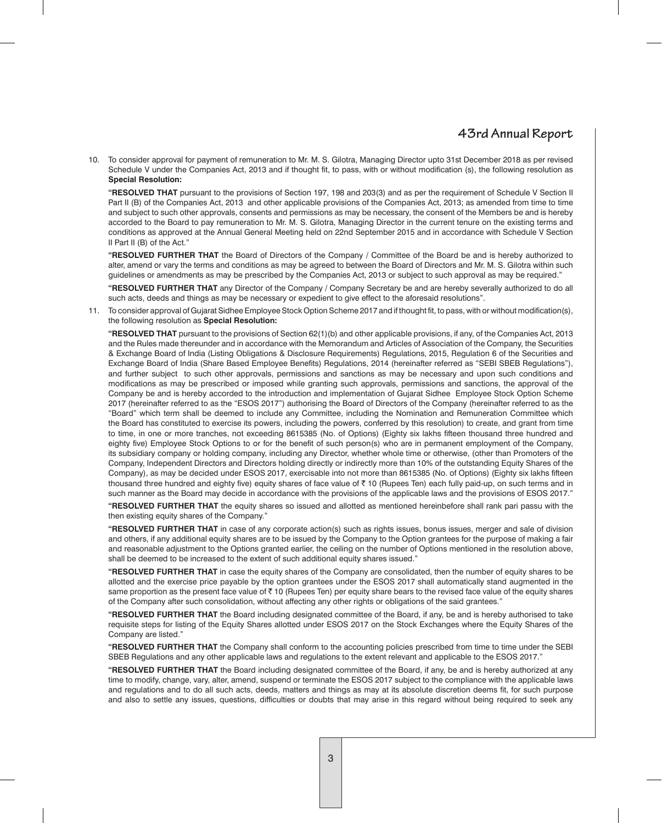10. To consider approval for payment of remuneration to Mr. M. S. Gilotra, Managing Director upto 31st December 2018 as per revised Schedule V under the Companies Act, 2013 and if thought fit, to pass, with or without modification (s), the following resolution as **Special Resolution:**

**"RESOLVED THAT** pursuant to the provisions of Section 197, 198 and 203(3) and as per the requirement of Schedule V Section II Part II (B) of the Companies Act, 2013 and other applicable provisions of the Companies Act, 2013; as amended from time to time and subject to such other approvals, consents and permissions as may be necessary, the consent of the Members be and is hereby accorded to the Board to pay remuneration to Mr. M. S. Gilotra, Managing Director in the current tenure on the existing terms and conditions as approved at the Annual General Meeting held on 22nd September 2015 and in accordance with Schedule V Section II Part II (B) of the Act."

**"RESOLVED FURTHER THAT** the Board of Directors of the Company / Committee of the Board be and is hereby authorized to alter, amend or vary the terms and conditions as may be agreed to between the Board of Directors and Mr. M. S. Gilotra within such guidelines or amendments as may be prescribed by the Companies Act, 2013 or subject to such approval as may be required."

**"RESOLVED FURTHER THAT** any Director of the Company / Company Secretary be and are hereby severally authorized to do all such acts, deeds and things as may be necessary or expedient to give effect to the aforesaid resolutions".

11. To consider approval of Gujarat Sidhee Employee Stock Option Scheme 2017 and if thought fit, to pass, with or without modification(s), the following resolution as **Special Resolution:**

**"RESOLVED THAT** pursuant to the provisions of Section 62(1)(b) and other applicable provisions, if any, of the Companies Act, 2013 and the Rules made thereunder and in accordance with the Memorandum and Articles of Association of the Company, the Securities & Exchange Board of India (Listing Obligations & Disclosure Requirements) Regulations, 2015, Regulation 6 of the Securities and Exchange Board of India (Share Based Employee Benefits) Regulations, 2014 (hereinafter referred as "SEBI SBEB Regulations"), and further subject to such other approvals, permissions and sanctions as may be necessary and upon such conditions and modifications as may be prescribed or imposed while granting such approvals, permissions and sanctions, the approval of the Company be and is hereby accorded to the introduction and implementation of Gujarat Sidhee Employee Stock Option Scheme 2017 (hereinafter referred to as the "ESOS 2017") authorising the Board of Directors of the Company (hereinafter referred to as the "Board" which term shall be deemed to include any Committee, including the Nomination and Remuneration Committee which the Board has constituted to exercise its powers, including the powers, conferred by this resolution) to create, and grant from time to time, in one or more tranches, not exceeding 8615385 (No. of Options) (Eighty six lakhs fifteen thousand three hundred and eighty five) Employee Stock Options to or for the benefit of such person(s) who are in permanent employment of the Company, its subsidiary company or holding company, including any Director, whether whole time or otherwise, (other than Promoters of the Company, Independent Directors and Directors holding directly or indirectly more than 10% of the outstanding Equity Shares of the Company), as may be decided under ESOS 2017, exercisable into not more than 8615385 (No. of Options) (Eighty six lakhs fifteen thousand three hundred and eighty five) equity shares of face value of ₹ 10 (Rupees Ten) each fully paid-up, on such terms and in such manner as the Board may decide in accordance with the provisions of the applicable laws and the provisions of ESOS 2017."

**"RESOLVED FURTHER THAT** the equity shares so issued and allotted as mentioned hereinbefore shall rank pari passu with the then existing equity shares of the Company."

**"RESOLVED FURTHER THAT** in case of any corporate action(s) such as rights issues, bonus issues, merger and sale of division and others, if any additional equity shares are to be issued by the Company to the Option grantees for the purpose of making a fair and reasonable adjustment to the Options granted earlier, the ceiling on the number of Options mentioned in the resolution above, shall be deemed to be increased to the extent of such additional equity shares issued."

**"RESOLVED FURTHER THAT** in case the equity shares of the Company are consolidated, then the number of equity shares to be allotted and the exercise price payable by the option grantees under the ESOS 2017 shall automatically stand augmented in the same proportion as the present face value of  $\bar{\tau}$  10 (Rupees Ten) per equity share bears to the revised face value of the equity shares of the Company after such consolidation, without affecting any other rights or obligations of the said grantees."

**"RESOLVED FURTHER THAT** the Board including designated committee of the Board, if any, be and is hereby authorised to take requisite steps for listing of the Equity Shares allotted under ESOS 2017 on the Stock Exchanges where the Equity Shares of the Company are listed."

**"RESOLVED FURTHER THAT** the Company shall conform to the accounting policies prescribed from time to time under the SEBI SBEB Regulations and any other applicable laws and regulations to the extent relevant and applicable to the ESOS 2017."

**"RESOLVED FURTHER THAT** the Board including designated committee of the Board, if any, be and is hereby authorized at any time to modify, change, vary, alter, amend, suspend or terminate the ESOS 2017 subject to the compliance with the applicable laws and regulations and to do all such acts, deeds, matters and things as may at its absolute discretion deems fit, for such purpose and also to settle any issues, questions, difficulties or doubts that may arise in this regard without being required to seek any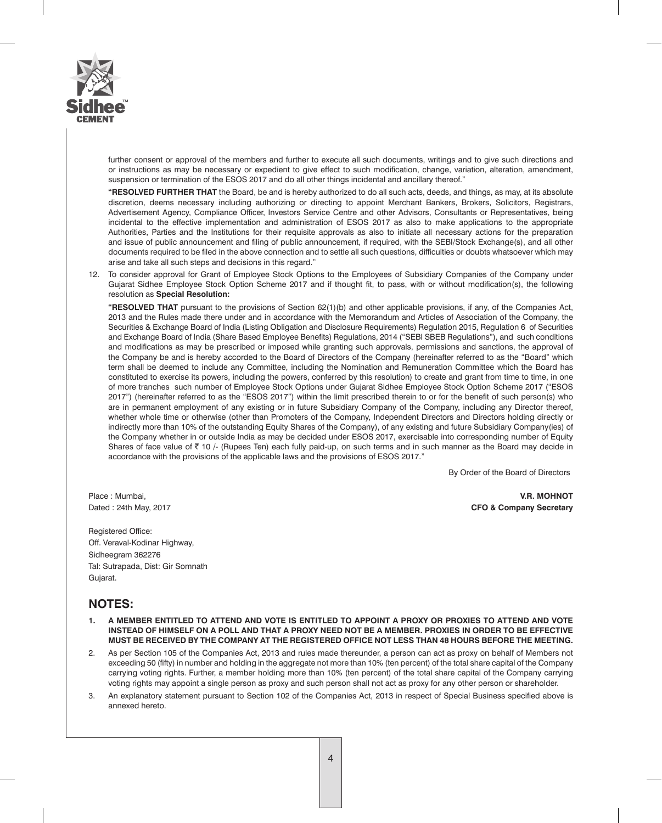

further consent or approval of the members and further to execute all such documents, writings and to give such directions and or instructions as may be necessary or expedient to give effect to such modification, change, variation, alteration, amendment, suspension or termination of the ESOS 2017 and do all other things incidental and ancillary thereof."

**"RESOLVED FURTHER THAT** the Board, be and is hereby authorized to do all such acts, deeds, and things, as may, at its absolute discretion, deems necessary including authorizing or directing to appoint Merchant Bankers, Brokers, Solicitors, Registrars, Advertisement Agency, Compliance Officer, Investors Service Centre and other Advisors, Consultants or Representatives, being incidental to the effective implementation and administration of ESOS 2017 as also to make applications to the appropriate Authorities, Parties and the Institutions for their requisite approvals as also to initiate all necessary actions for the preparation and issue of public announcement and filing of public announcement, if required, with the SEBI/Stock Exchange(s), and all other documents required to be filed in the above connection and to settle all such questions, difficulties or doubts whatsoever which may arise and take all such steps and decisions in this regard."

12. To consider approval for Grant of Employee Stock Options to the Employees of Subsidiary Companies of the Company under Gujarat Sidhee Employee Stock Option Scheme 2017 and if thought fit, to pass, with or without modification(s), the following resolution as **Special Resolution:**

**"RESOLVED THAT** pursuant to the provisions of Section 62(1)(b) and other applicable provisions, if any, of the Companies Act, 2013 and the Rules made there under and in accordance with the Memorandum and Articles of Association of the Company, the Securities & Exchange Board of India (Listing Obligation and Disclosure Requirements) Regulation 2015, Regulation 6 of Securities and Exchange Board of India (Share Based Employee Benefits) Regulations, 2014 ("SEBI SBEB Regulations"), and such conditions and modifications as may be prescribed or imposed while granting such approvals, permissions and sanctions, the approval of the Company be and is hereby accorded to the Board of Directors of the Company (hereinafter referred to as the "Board" which term shall be deemed to include any Committee, including the Nomination and Remuneration Committee which the Board has constituted to exercise its powers, including the powers, conferred by this resolution) to create and grant from time to time, in one of more tranches such number of Employee Stock Options under Gujarat Sidhee Employee Stock Option Scheme 2017 ("ESOS 2017") (hereinafter referred to as the "ESOS 2017") within the limit prescribed therein to or for the benefit of such person(s) who are in permanent employment of any existing or in future Subsidiary Company of the Company, including any Director thereof, whether whole time or otherwise (other than Promoters of the Company, Independent Directors and Directors holding directly or indirectly more than 10% of the outstanding Equity Shares of the Company), of any existing and future Subsidiary Company(ies) of the Company whether in or outside India as may be decided under ESOS 2017, exercisable into corresponding number of Equity Shares of face value of  $\bar{\tau}$  10 /- (Rupees Ten) each fully paid-up, on such terms and in such manner as the Board may decide in accordance with the provisions of the applicable laws and the provisions of ESOS 2017."

By Order of the Board of Directors

Registered Office: Off. Veraval-Kodinar Highway, Sidheegram 362276 Tal: Sutrapada, Dist: Gir Somnath Gujarat.

Place : Mumbai, **V.R. MOHNOT** Dated : 24th May, 2017 **CFO & Company Secretary**

## **NOTES:**

- **1. A MEMBER ENTITLED TO ATTEND AND VOTE IS ENTITLED TO APPOINT A PROXY OR PROXIES TO ATTEND AND VOTE INSTEAD OF HIMSELF ON A POLL AND THAT A PROXY NEED NOT BE A MEMBER. PROXIES IN ORDER TO BE EFFECTIVE MUST BE RECEIVED BY THE COMPANY AT THE REGISTERED OFFICE NOT LESS THAN 48 HOURS BEFORE THE MEETING.**
- 2. As per Section 105 of the Companies Act, 2013 and rules made thereunder, a person can act as proxy on behalf of Members not exceeding 50 (fifty) in number and holding in the aggregate not more than 10% (ten percent) of the total share capital of the Company carrying voting rights. Further, a member holding more than 10% (ten percent) of the total share capital of the Company carrying voting rights may appoint a single person as proxy and such person shall not act as proxy for any other person or shareholder.
- 3. An explanatory statement pursuant to Section 102 of the Companies Act, 2013 in respect of Special Business specified above is annexed hereto.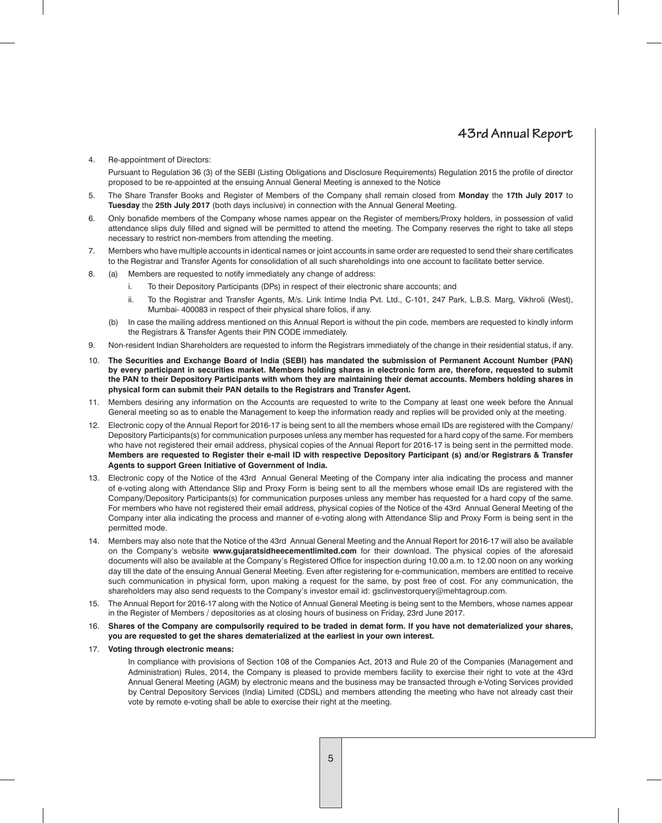#### 4. Re-appointment of Directors:

Pursuant to Regulation 36 (3) of the SEBI (Listing Obligations and Disclosure Requirements) Regulation 2015 the profile of director proposed to be re-appointed at the ensuing Annual General Meeting is annexed to the Notice

- 5. The Share Transfer Books and Register of Members of the Company shall remain closed from **Monday** the **17th July 2017** to **Tuesday** the **25th July 2017** (both days inclusive) in connection with the Annual General Meeting.
- 6. Only bonafide members of the Company whose names appear on the Register of members/Proxy holders, in possession of valid attendance slips duly filled and signed will be permitted to attend the meeting. The Company reserves the right to take all steps necessary to restrict non-members from attending the meeting.
- 7. Members who have multiple accounts in identical names or joint accounts in same order are requested to send their share certificates to the Registrar and Transfer Agents for consolidation of all such shareholdings into one account to facilitate better service.
- 8. (a) Members are requested to notify immediately any change of address:
	- i. To their Depository Participants (DPs) in respect of their electronic share accounts; and
	- ii. To the Registrar and Transfer Agents, M/s. Link Intime India Pvt. Ltd., C-101, 247 Park, L.B.S. Marg, Vikhroli (West), Mumbai- 400083 in respect of their physical share folios, if any.
	- (b) In case the mailing address mentioned on this Annual Report is without the pin code, members are requested to kindly inform the Registrars & Transfer Agents their PIN CODE immediately.
- 9. Non-resident Indian Shareholders are requested to inform the Registrars immediately of the change in their residential status, if any.
- 10. **The Securities and Exchange Board of India (SEBI) has mandated the submission of Permanent Account Number (PAN) by every participant in securities market. Members holding shares in electronic form are, therefore, requested to submit the PAN to their Depository Participants with whom they are maintaining their demat accounts. Members holding shares in physical form can submit their PAN details to the Registrars and Transfer Agent.**
- 11. Members desiring any information on the Accounts are requested to write to the Company at least one week before the Annual General meeting so as to enable the Management to keep the information ready and replies will be provided only at the meeting.
- 12. Electronic copy of the Annual Report for 2016-17 is being sent to all the members whose email IDs are registered with the Company/ Depository Participants(s) for communication purposes unless any member has requested for a hard copy of the same. For members who have not registered their email address, physical copies of the Annual Report for 2016-17 is being sent in the permitted mode. **Members are requested to Register their e-mail ID with respective Depository Participant (s) and/or Registrars & Transfer Agents to support Green Initiative of Government of India.**
- 13. Electronic copy of the Notice of the 43rd Annual General Meeting of the Company inter alia indicating the process and manner of e-voting along with Attendance Slip and Proxy Form is being sent to all the members whose email IDs are registered with the Company/Depository Participants(s) for communication purposes unless any member has requested for a hard copy of the same. For members who have not registered their email address, physical copies of the Notice of the 43rd Annual General Meeting of the Company inter alia indicating the process and manner of e-voting along with Attendance Slip and Proxy Form is being sent in the permitted mode.
- 14. Members may also note that the Notice of the 43rd Annual General Meeting and the Annual Report for 2016-17 will also be available on the Company's website **www.gujaratsidheecementlimited.com** for their download. The physical copies of the aforesaid documents will also be available at the Company's Registered Office for inspection during 10.00 a.m. to 12.00 noon on any working day till the date of the ensuing Annual General Meeting. Even after registering for e-communication, members are entitled to receive such communication in physical form, upon making a request for the same, by post free of cost. For any communication, the shareholders may also send requests to the Company's investor email id: gsclinvestorquery@mehtagroup.com.
- 15. The Annual Report for 2016-17 along with the Notice of Annual General Meeting is being sent to the Members, whose names appear in the Register of Members / depositories as at closing hours of business on Friday, 23rd June 2017.
- 16. **Shares of the Company are compulsorily required to be traded in demat form. If you have not dematerialized your shares, you are requested to get the shares dematerialized at the earliest in your own interest.**

#### 17. **Voting through electronic means:**

In compliance with provisions of Section 108 of the Companies Act, 2013 and Rule 20 of the Companies (Management and Administration) Rules, 2014, the Company is pleased to provide members facility to exercise their right to vote at the 43rd Annual General Meeting (AGM) by electronic means and the business may be transacted through e-Voting Services provided by Central Depository Services (India) Limited (CDSL) and members attending the meeting who have not already cast their vote by remote e-voting shall be able to exercise their right at the meeting.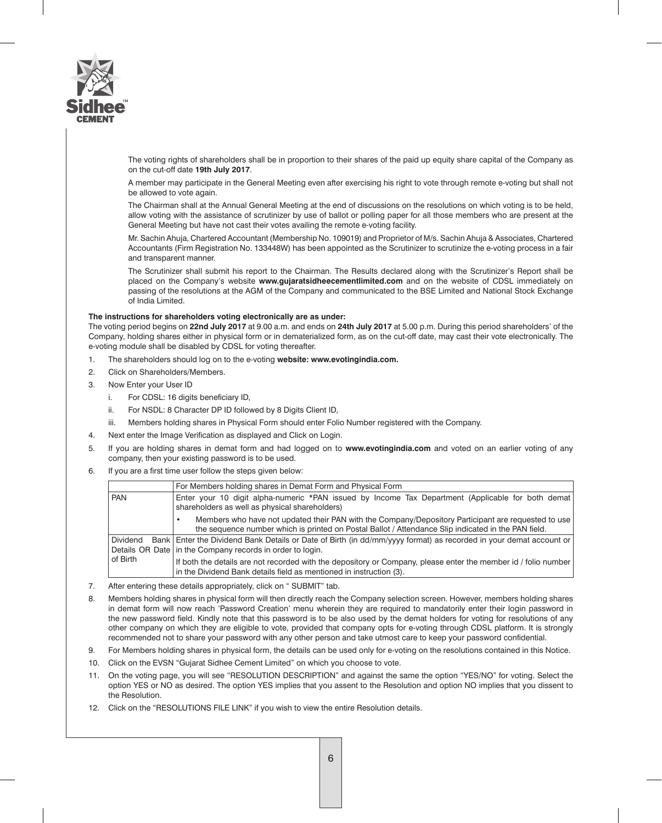

The voting rights of shareholders shall be in proportion to their shares of the paid up equity share capital of the Company as on the cut-off date **19th July 2017**.

A member may participate in the General Meeting even after exercising his right to vote through remote e-voting but shall not be allowed to vote again.

The Chairman shall at the Annual General Meeting at the end of discussions on the resolutions on which voting is to be held, allow voting with the assistance of scrutinizer by use of ballot or polling paper for all those members who are present at the General Meeting but have not cast their votes availing the remote e-voting facility.

Mr. Sachin Ahuja, Chartered Accountant (Membership No. 109019) and Proprietor of M/s. Sachin Ahuja & Associates, Chartered Accountants (Firm Registration No. 133448W) has been appointed as the Scrutinizer to scrutinize the e-voting process in a fair and transparent manner.

The Scrutinizer shall submit his report to the Chairman. The Results declared along with the Scrutinizer's Report shall be placed on the Company's website **www.gujaratsidheecementlimited.com** and on the website of CDSL immediately on passing of the resolutions at the AGM of the Company and communicated to the BSE Limited and National Stock Exchange of India Limited.

### **The instructions for shareholders voting electronically are as under:**

The voting period begins on **22nd July 2017** at 9.00 a.m. and ends on **24th July 2017** at 5.00 p.m. During this period shareholders' of the Company, holding shares either in physical form or in dematerialized form, as on the cut-off date, may cast their vote electronically. The e-voting module shall be disabled by CDSL for voting thereafter.

- 1. The shareholders should log on to the e-voting **website: www.evotingindia.com.**
- 2. Click on Shareholders/Members.
- 3. Now Enter your User ID
	- i. For CDSL: 16 digits beneficiary ID,
	- ii. For NSDL: 8 Character DP ID followed by 8 Digits Client ID,
	- iii. Members holding shares in Physical Form should enter Folio Number registered with the Company.
- 4. Next enter the Image Verification as displayed and Click on Login.
- 5. If you are holding shares in demat form and had logged on to **www.evotingindia.com** and voted on an earlier voting of any company, then your existing password is to be used.
- 6. If you are a first time user follow the steps given below:

|            | For Members holding shares in Demat Form and Physical Form                                                                                                                                                 |
|------------|------------------------------------------------------------------------------------------------------------------------------------------------------------------------------------------------------------|
| <b>PAN</b> | Enter your 10 digit alpha-numeric *PAN issued by Income Tax Department (Applicable for both demat)<br>shareholders as well as physical shareholders)                                                       |
|            | Members who have not updated their PAN with the Company/Depository Participant are requested to use<br>the sequence number which is printed on Postal Ballot / Attendance Slip indicated in the PAN field. |
| Dividend   | Bank   Enter the Dividend Bank Details or Date of Birth (in dd/mm/yyyy format) as recorded in your demat account or                                                                                        |
|            | Details OR Date   in the Company records in order to login.                                                                                                                                                |
| l of Birth | If both the details are not recorded with the depository or Company, please enter the member id / folio number<br>in the Dividend Bank details field as mentioned in instruction (3).                      |

- 7. After entering these details appropriately, click on " SUBMIT" tab.
- 8. Members holding shares in physical form will then directly reach the Company selection screen. However, members holding shares in demat form will now reach 'Password Creation' menu wherein they are required to mandatorily enter their login password in the new password field. Kindly note that this password is to be also used by the demat holders for voting for resolutions of any other company on which they are eligible to vote, provided that company opts for e-voting through CDSL platform. It is strongly recommended not to share your password with any other person and take utmost care to keep your password confidential.
- 9. For Members holding shares in physical form, the details can be used only for e-voting on the resolutions contained in this Notice.
- 10. Click on the EVSN "Gujarat Sidhee Cement Limited" on which you choose to vote.
- 11. On the voting page, you will see "RESOLUTION DESCRIPTION" and against the same the option "YES/NO" for voting. Select the option YES or NO as desired. The option YES implies that you assent to the Resolution and option NO implies that you dissent to the Resolution.
- 12. Click on the "RESOLUTIONS FILE LINK" if you wish to view the entire Resolution details.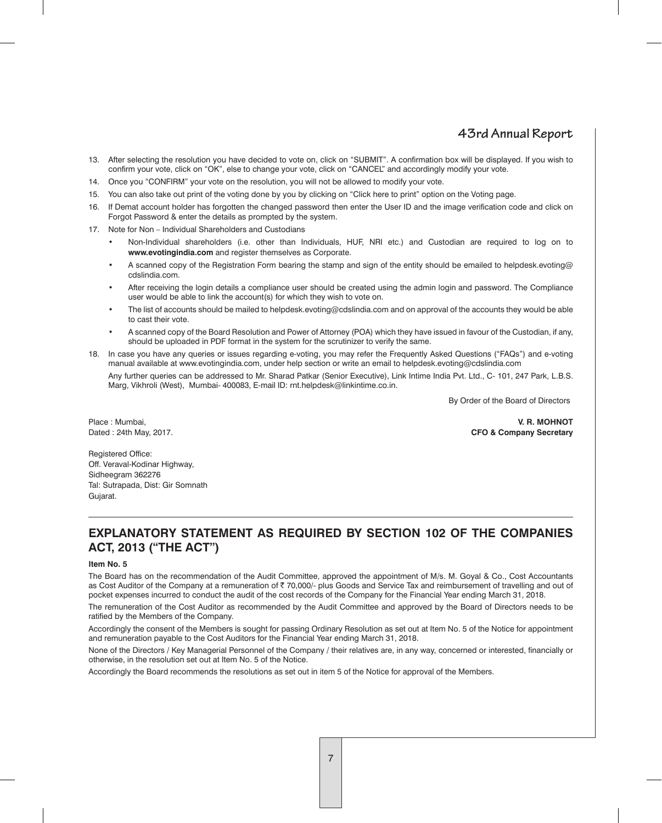- 13. After selecting the resolution you have decided to vote on, click on "SUBMIT". A confirmation box will be displayed. If you wish to confirm your vote, click on "OK", else to change your vote, click on "CANCEL" and accordingly modify your vote.
- 14. Once you "CONFIRM" your vote on the resolution, you will not be allowed to modify your vote.
- 15. You can also take out print of the voting done by you by clicking on "Click here to print" option on the Voting page.
- 16. If Demat account holder has forgotten the changed password then enter the User ID and the image verification code and click on Forgot Password & enter the details as prompted by the system.
- 17. Note for Non Individual Shareholders and Custodians
	- Non-Individual shareholders (i.e. other than Individuals, HUF, NRI etc.) and Custodian are required to log on to **www.evotingindia.com** and register themselves as Corporate.
	- A scanned copy of the Registration Form bearing the stamp and sign of the entity should be emailed to helpdesk.evoting@ cdslindia.com.
	- After receiving the login details a compliance user should be created using the admin login and password. The Compliance user would be able to link the account(s) for which they wish to vote on.
	- The list of accounts should be mailed to helpdesk.evoting@cdslindia.com and on approval of the accounts they would be able to cast their vote.
	- A scanned copy of the Board Resolution and Power of Attorney (POA) which they have issued in favour of the Custodian, if any, should be uploaded in PDF format in the system for the scrutinizer to verify the same.
- 18. In case you have any queries or issues regarding e-voting, you may refer the Frequently Asked Questions ("FAQs") and e-voting manual available at www.evotingindia.com, under help section or write an email to helpdesk.evoting@cdslindia.com

Any further queries can be addressed to Mr. Sharad Patkar (Senior Executive), Link Intime India Pvt. Ltd., C- 101, 247 Park, L.B.S. Marg, Vikhroli (West), Mumbai- 400083, E-mail ID: rnt.helpdesk@linkintime.co.in.

By Order of the Board of Directors

Place : Mumbai, **V. R. MOHNOT** Dated : 24th May, 2017. **CFO & Company Secretary**

Registered Office: Off. Veraval-Kodinar Highway, Sidheegram 362276 Tal: Sutrapada, Dist: Gir Somnath Gujarat.

## **EXPLANATORY STATEMENT AS REQUIRED BY SECTION 102 OF THE COMPANIES ACT, 2013 ("THE ACT")**

### **Item No. 5**

The Board has on the recommendation of the Audit Committee, approved the appointment of M/s. M. Goyal & Co., Cost Accountants as Cost Auditor of the Company at a remuneration of ₹ 70,000/- plus Goods and Service Tax and reimbursement of travelling and out of pocket expenses incurred to conduct the audit of the cost records of the Company for the Financial Year ending March 31, 2018.

The remuneration of the Cost Auditor as recommended by the Audit Committee and approved by the Board of Directors needs to be ratified by the Members of the Company.

Accordingly the consent of the Members is sought for passing Ordinary Resolution as set out at Item No. 5 of the Notice for appointment and remuneration payable to the Cost Auditors for the Financial Year ending March 31, 2018.

None of the Directors / Key Managerial Personnel of the Company / their relatives are, in any way, concerned or interested, financially or otherwise, in the resolution set out at Item No. 5 of the Notice.

Accordingly the Board recommends the resolutions as set out in item 5 of the Notice for approval of the Members.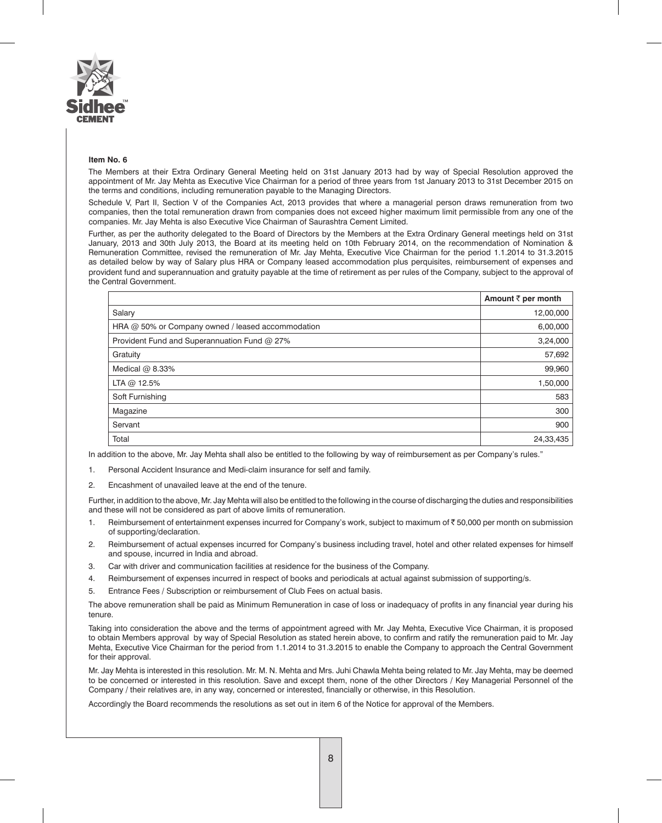

#### **Item No. 6**

The Members at their Extra Ordinary General Meeting held on 31st January 2013 had by way of Special Resolution approved the appointment of Mr. Jay Mehta as Executive Vice Chairman for a period of three years from 1st January 2013 to 31st December 2015 on the terms and conditions, including remuneration payable to the Managing Directors.

Schedule V, Part II, Section V of the Companies Act, 2013 provides that where a managerial person draws remuneration from two companies, then the total remuneration drawn from companies does not exceed higher maximum limit permissible from any one of the companies. Mr. Jay Mehta is also Executive Vice Chairman of Saurashtra Cement Limited.

Further, as per the authority delegated to the Board of Directors by the Members at the Extra Ordinary General meetings held on 31st January, 2013 and 30th July 2013, the Board at its meeting held on 10th February 2014, on the recommendation of Nomination & Remuneration Committee, revised the remuneration of Mr. Jay Mehta, Executive Vice Chairman for the period 1.1.2014 to 31.3.2015 as detailed below by way of Salary plus HRA or Company leased accommodation plus perquisites, reimbursement of expenses and provident fund and superannuation and gratuity payable at the time of retirement as per rules of the Company, subject to the approval of the Central Government.

|                                                   | Amount ₹ per month |
|---------------------------------------------------|--------------------|
| Salary                                            | 12,00,000          |
| HRA @ 50% or Company owned / leased accommodation | 6,00,000           |
| Provident Fund and Superannuation Fund @ 27%      | 3,24,000           |
| Gratuity                                          | 57,692             |
| Medical $@$ 8.33%                                 | 99,960             |
| LTA @ 12.5%                                       | 1,50,000           |
| Soft Furnishing                                   | 583                |
| Magazine                                          | 300                |
| Servant                                           | 900                |
| Total                                             | 24,33,435          |

In addition to the above, Mr. Jay Mehta shall also be entitled to the following by way of reimbursement as per Company's rules."

- 1. Personal Accident Insurance and Medi-claim insurance for self and family.
- 2. Encashment of unavailed leave at the end of the tenure.

Further, in addition to the above, Mr. Jay Mehta will also be entitled to the following in the course of discharging the duties and responsibilities and these will not be considered as part of above limits of remuneration.

- 1. Reimbursement of entertainment expenses incurred for Company's work, subject to maximum of ₹50,000 per month on submission of supporting/declaration.
- 2. Reimbursement of actual expenses incurred for Company's business including travel, hotel and other related expenses for himself and spouse, incurred in India and abroad.
- 3. Car with driver and communication facilities at residence for the business of the Company.
- 4. Reimbursement of expenses incurred in respect of books and periodicals at actual against submission of supporting/s.
- 5. Entrance Fees / Subscription or reimbursement of Club Fees on actual basis.

The above remuneration shall be paid as Minimum Remuneration in case of loss or inadequacy of profits in any financial year during his tenure.

Taking into consideration the above and the terms of appointment agreed with Mr. Jay Mehta, Executive Vice Chairman, it is proposed to obtain Members approval by way of Special Resolution as stated herein above, to confirm and ratify the remuneration paid to Mr. Jay Mehta, Executive Vice Chairman for the period from 1.1.2014 to 31.3.2015 to enable the Company to approach the Central Government for their approval.

Mr. Jay Mehta is interested in this resolution. Mr. M. N. Mehta and Mrs. Juhi Chawla Mehta being related to Mr. Jay Mehta, may be deemed to be concerned or interested in this resolution. Save and except them, none of the other Directors / Key Managerial Personnel of the Company / their relatives are, in any way, concerned or interested, financially or otherwise, in this Resolution.

Accordingly the Board recommends the resolutions as set out in item 6 of the Notice for approval of the Members.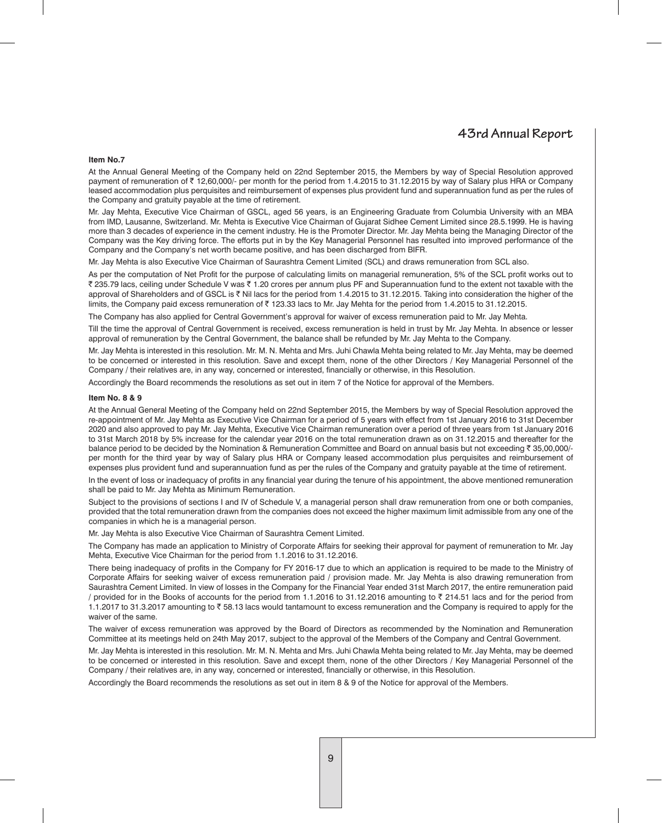#### **Item No.7**

At the Annual General Meeting of the Company held on 22nd September 2015, the Members by way of Special Resolution approved payment of remuneration of ₹12,60,000/- per month for the period from 1.4.2015 to 31.12.2015 by way of Salary plus HRA or Company leased accommodation plus perquisites and reimbursement of expenses plus provident fund and superannuation fund as per the rules of the Company and gratuity payable at the time of retirement.

Mr. Jay Mehta, Executive Vice Chairman of GSCL, aged 56 years, is an Engineering Graduate from Columbia University with an MBA from IMD, Lausanne, Switzerland. Mr. Mehta is Executive Vice Chairman of Gujarat Sidhee Cement Limited since 28.5.1999. He is having more than 3 decades of experience in the cement industry. He is the Promoter Director. Mr. Jay Mehta being the Managing Director of the Company was the Key driving force. The efforts put in by the Key Managerial Personnel has resulted into improved performance of the Company and the Company's net worth became positive, and has been discharged from BIFR.

Mr. Jay Mehta is also Executive Vice Chairman of Saurashtra Cement Limited (SCL) and draws remuneration from SCL also.

As per the computation of Net Profit for the purpose of calculating limits on managerial remuneration, 5% of the SCL profit works out to ` 235.79 lacs, ceiling under Schedule V was ` 1.20 crores per annum plus PF and Superannuation fund to the extent not taxable with the approval of Shareholders and of GSCL is ₹ Nil lacs for the period from 1.4.2015 to 31.12.2015. Taking into consideration the higher of the limits, the Company paid excess remuneration of  $\bar{\tau}$  123.33 lacs to Mr. Jay Mehta for the period from 1.4.2015 to 31.12.2015.

The Company has also applied for Central Government's approval for waiver of excess remuneration paid to Mr. Jay Mehta.

Till the time the approval of Central Government is received, excess remuneration is held in trust by Mr. Jay Mehta. In absence or lesser approval of remuneration by the Central Government, the balance shall be refunded by Mr. Jay Mehta to the Company.

Mr. Jay Mehta is interested in this resolution. Mr. M. N. Mehta and Mrs. Juhi Chawla Mehta being related to Mr. Jay Mehta, may be deemed to be concerned or interested in this resolution. Save and except them, none of the other Directors / Key Managerial Personnel of the Company / their relatives are, in any way, concerned or interested, financially or otherwise, in this Resolution.

Accordingly the Board recommends the resolutions as set out in item 7 of the Notice for approval of the Members.

#### **Item No. 8 & 9**

At the Annual General Meeting of the Company held on 22nd September 2015, the Members by way of Special Resolution approved the re-appointment of Mr. Jay Mehta as Executive Vice Chairman for a period of 5 years with effect from 1st January 2016 to 31st December 2020 and also approved to pay Mr. Jay Mehta, Executive Vice Chairman remuneration over a period of three years from 1st January 2016 to 31st March 2018 by 5% increase for the calendar year 2016 on the total remuneration drawn as on 31.12.2015 and thereafter for the balance period to be decided by the Nomination & Remuneration Committee and Board on annual basis but not exceeding ₹ 35,00,000/per month for the third year by way of Salary plus HRA or Company leased accommodation plus perquisites and reimbursement of expenses plus provident fund and superannuation fund as per the rules of the Company and gratuity payable at the time of retirement.

In the event of loss or inadequacy of profits in any financial year during the tenure of his appointment, the above mentioned remuneration shall be paid to Mr. Jay Mehta as Minimum Remuneration.

Subject to the provisions of sections I and IV of Schedule V, a managerial person shall draw remuneration from one or both companies, provided that the total remuneration drawn from the companies does not exceed the higher maximum limit admissible from any one of the companies in which he is a managerial person.

Mr. Jay Mehta is also Executive Vice Chairman of Saurashtra Cement Limited.

The Company has made an application to Ministry of Corporate Affairs for seeking their approval for payment of remuneration to Mr. Jay Mehta, Executive Vice Chairman for the period from 1.1.2016 to 31.12.2016.

There being inadequacy of profits in the Company for FY 2016-17 due to which an application is required to be made to the Ministry of Corporate Affairs for seeking waiver of excess remuneration paid / provision made. Mr. Jay Mehta is also drawing remuneration from Saurashtra Cement Limited. In view of losses in the Company for the Financial Year ended 31st March 2017, the entire remuneration paid / provided for in the Books of accounts for the period from 1.1.2016 to 31.12.2016 amounting to  $\bar{\tau}$  214.51 lacs and for the period from 1.1.2017 to 31.3.2017 amounting to ₹58.13 lacs would tantamount to excess remuneration and the Company is required to apply for the waiver of the same.

The waiver of excess remuneration was approved by the Board of Directors as recommended by the Nomination and Remuneration Committee at its meetings held on 24th May 2017, subject to the approval of the Members of the Company and Central Government.

Mr. Jay Mehta is interested in this resolution. Mr. M. N. Mehta and Mrs. Juhi Chawla Mehta being related to Mr. Jay Mehta, may be deemed to be concerned or interested in this resolution. Save and except them, none of the other Directors / Key Managerial Personnel of the Company / their relatives are, in any way, concerned or interested, financially or otherwise, in this Resolution.

Accordingly the Board recommends the resolutions as set out in item 8 & 9 of the Notice for approval of the Members.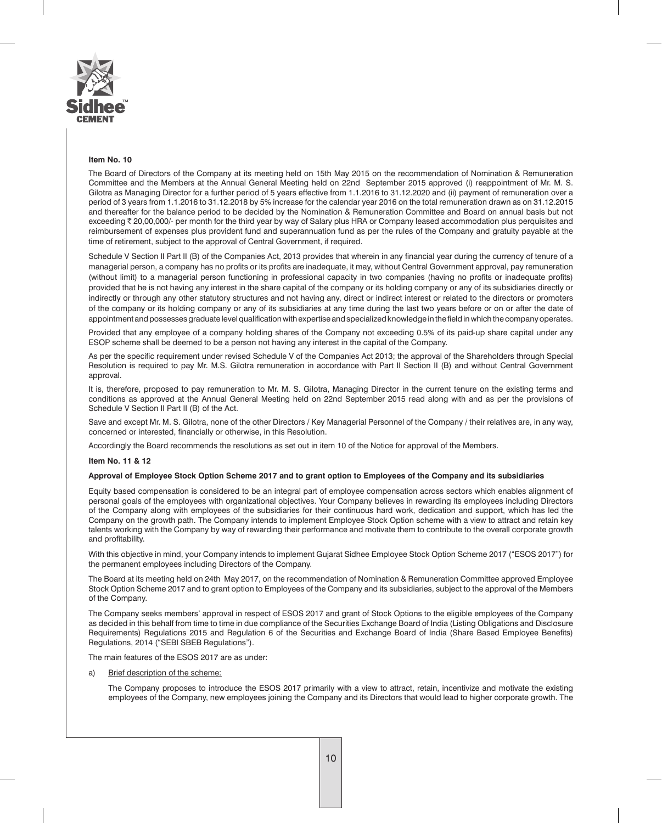

#### **Item No. 10**

The Board of Directors of the Company at its meeting held on 15th May 2015 on the recommendation of Nomination & Remuneration Committee and the Members at the Annual General Meeting held on 22nd September 2015 approved (i) reappointment of Mr. M. S. Gilotra as Managing Director for a further period of 5 years effective from 1.1.2016 to 31.12.2020 and (ii) payment of remuneration over a period of 3 years from 1.1.2016 to 31.12.2018 by 5% increase for the calendar year 2016 on the total remuneration drawn as on 31.12.2015 and thereafter for the balance period to be decided by the Nomination & Remuneration Committee and Board on annual basis but not exceeding  $\bar{\tau}$  20,00,000/- per month for the third year by way of Salary plus HRA or Company leased accommodation plus perquisites and reimbursement of expenses plus provident fund and superannuation fund as per the rules of the Company and gratuity payable at the time of retirement, subject to the approval of Central Government, if required.

Schedule V Section II Part II (B) of the Companies Act, 2013 provides that wherein in any financial year during the currency of tenure of a managerial person, a company has no profits or its profits are inadequate, it may, without Central Government approval, pay remuneration (without limit) to a managerial person functioning in professional capacity in two companies (having no profits or inadequate profits) provided that he is not having any interest in the share capital of the company or its holding company or any of its subsidiaries directly or indirectly or through any other statutory structures and not having any, direct or indirect interest or related to the directors or promoters of the company or its holding company or any of its subsidiaries at any time during the last two years before or on or after the date of appointment and possesses graduate level qualification with expertise and specialized knowledge in the field in which the company operates.

Provided that any employee of a company holding shares of the Company not exceeding 0.5% of its paid-up share capital under any ESOP scheme shall be deemed to be a person not having any interest in the capital of the Company.

As per the specific requirement under revised Schedule V of the Companies Act 2013; the approval of the Shareholders through Special Resolution is required to pay Mr. M.S. Gilotra remuneration in accordance with Part II Section II (B) and without Central Government approval.

It is, therefore, proposed to pay remuneration to Mr. M. S. Gilotra, Managing Director in the current tenure on the existing terms and conditions as approved at the Annual General Meeting held on 22nd September 2015 read along with and as per the provisions of Schedule V Section II Part II (B) of the Act.

Save and except Mr. M. S. Gilotra, none of the other Directors / Key Managerial Personnel of the Company / their relatives are, in any way, concerned or interested, financially or otherwise, in this Resolution.

Accordingly the Board recommends the resolutions as set out in item 10 of the Notice for approval of the Members.

#### **Item No. 11 & 12**

#### **Approval of Employee Stock Option Scheme 2017 and to grant option to Employees of the Company and its subsidiaries**

Equity based compensation is considered to be an integral part of employee compensation across sectors which enables alignment of personal goals of the employees with organizational objectives. Your Company believes in rewarding its employees including Directors of the Company along with employees of the subsidiaries for their continuous hard work, dedication and support, which has led the Company on the growth path. The Company intends to implement Employee Stock Option scheme with a view to attract and retain key talents working with the Company by way of rewarding their performance and motivate them to contribute to the overall corporate growth and profitability.

With this objective in mind, your Company intends to implement Gujarat Sidhee Employee Stock Option Scheme 2017 ("ESOS 2017") for the permanent employees including Directors of the Company.

The Board at its meeting held on 24th May 2017, on the recommendation of Nomination & Remuneration Committee approved Employee Stock Option Scheme 2017 and to grant option to Employees of the Company and its subsidiaries, subject to the approval of the Members of the Company.

The Company seeks members' approval in respect of ESOS 2017 and grant of Stock Options to the eligible employees of the Company as decided in this behalf from time to time in due compliance of the Securities Exchange Board of India (Listing Obligations and Disclosure Requirements) Regulations 2015 and Regulation 6 of the Securities and Exchange Board of India (Share Based Employee Benefits) Regulations, 2014 ("SEBI SBEB Regulations").

The main features of the ESOS 2017 are as under:

a) Brief description of the scheme:

The Company proposes to introduce the ESOS 2017 primarily with a view to attract, retain, incentivize and motivate the existing employees of the Company, new employees joining the Company and its Directors that would lead to higher corporate growth. The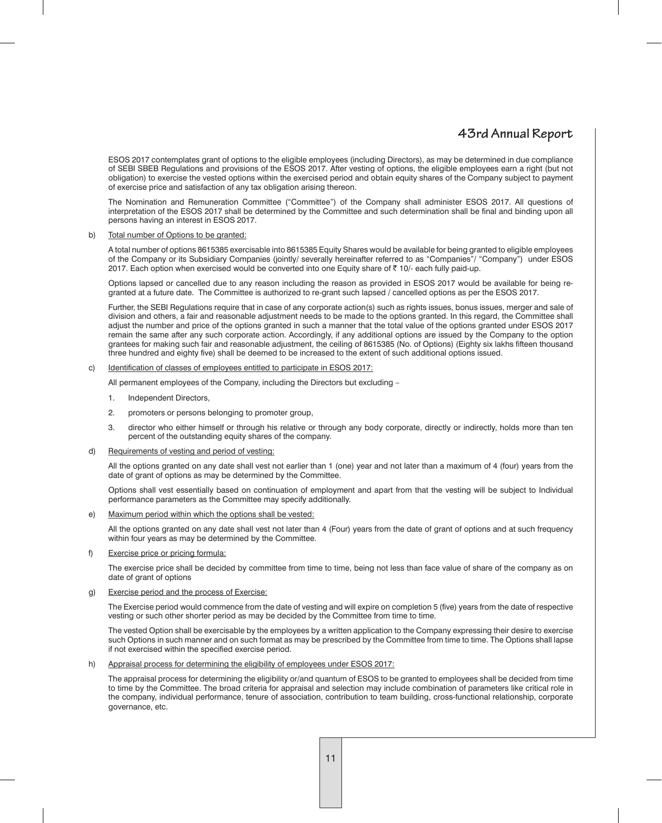ESOS 2017 contemplates grant of options to the eligible employees (including Directors), as may be determined in due compliance of SEBI SBEB Regulations and provisions of the ESOS 2017. After vesting of options, the eligible employees earn a right (but not obligation) to exercise the vested options within the exercised period and obtain equity shares of the Company subject to payment of exercise price and satisfaction of any tax obligation arising thereon.

The Nomination and Remuneration Committee ("Committee") of the Company shall administer ESOS 2017. All questions of interpretation of the ESOS 2017 shall be determined by the Committee and such determination shall be final and binding upon all persons having an interest in ESOS 2017.

#### b) Total number of Options to be granted:

A total number of options 8615385 exercisable into 8615385 Equity Shares would be available for being granted to eligible employees of the Company or its Subsidiary Companies (jointly/ severally hereinafter referred to as "Companies"/ "Company") under ESOS 2017. Each option when exercised would be converted into one Equity share of ₹ 10/- each fully paid-up.

Options lapsed or cancelled due to any reason including the reason as provided in ESOS 2017 would be available for being regranted at a future date. The Committee is authorized to re-grant such lapsed / cancelled options as per the ESOS 2017.

Further, the SEBI Regulations require that in case of any corporate action(s) such as rights issues, bonus issues, merger and sale of division and others, a fair and reasonable adjustment needs to be made to the options granted. In this regard, the Committee shall adjust the number and price of the options granted in such a manner that the total value of the options granted under ESOS 2017 remain the same after any such corporate action. Accordingly, if any additional options are issued by the Company to the option grantees for making such fair and reasonable adjustment, the ceiling of 8615385 (No. of Options) (Eighty six lakhs fifteen thousand three hundred and eighty five) shall be deemed to be increased to the extent of such additional options issued.

#### c) Identification of classes of employees entitled to participate in ESOS 2017:

All permanent employees of the Company, including the Directors but excluding –

- 1. Independent Directors,
- 2. promoters or persons belonging to promoter group,
- 3. director who either himself or through his relative or through any body corporate, directly or indirectly, holds more than ten percent of the outstanding equity shares of the company.

#### d) Requirements of vesting and period of vesting:

All the options granted on any date shall vest not earlier than 1 (one) year and not later than a maximum of 4 (four) years from the date of grant of options as may be determined by the Committee.

Options shall vest essentially based on continuation of employment and apart from that the vesting will be subject to Individual performance parameters as the Committee may specify additionally.

#### e) Maximum period within which the options shall be vested:

All the options granted on any date shall vest not later than 4 (Four) years from the date of grant of options and at such frequency within four years as may be determined by the Committee.

### f) Exercise price or pricing formula:

The exercise price shall be decided by committee from time to time, being not less than face value of share of the company as on date of grant of options

#### g) Exercise period and the process of Exercise:

The Exercise period would commence from the date of vesting and will expire on completion 5 (five) years from the date of respective vesting or such other shorter period as may be decided by the Committee from time to time.

The vested Option shall be exercisable by the employees by a written application to the Company expressing their desire to exercise such Options in such manner and on such format as may be prescribed by the Committee from time to time. The Options shall lapse if not exercised within the specified exercise period.

#### h) Appraisal process for determining the eligibility of employees under ESOS 2017:

The appraisal process for determining the eligibility or/and quantum of ESOS to be granted to employees shall be decided from time to time by the Committee. The broad criteria for appraisal and selection may include combination of parameters like critical role in the company, individual performance, tenure of association, contribution to team building, cross-functional relationship, corporate governance, etc.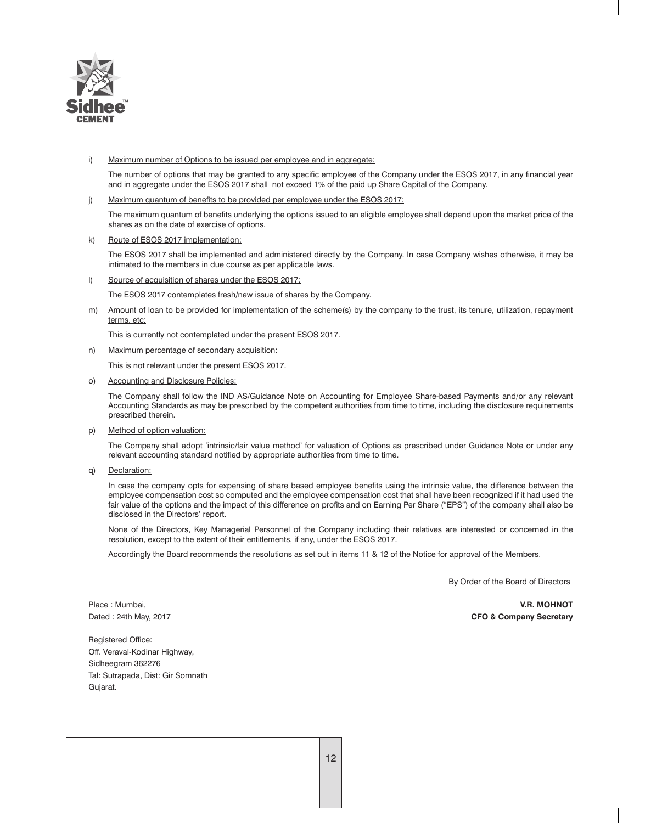

### i) Maximum number of Options to be issued per employee and in aggregate:

The number of options that may be granted to any specific employee of the Company under the ESOS 2017, in any financial year and in aggregate under the ESOS 2017 shall not exceed 1% of the paid up Share Capital of the Company.

#### j) Maximum quantum of benefits to be provided per employee under the ESOS 2017:

The maximum quantum of benefits underlying the options issued to an eligible employee shall depend upon the market price of the shares as on the date of exercise of options.

#### k) Route of ESOS 2017 implementation:

The ESOS 2017 shall be implemented and administered directly by the Company. In case Company wishes otherwise, it may be intimated to the members in due course as per applicable laws.

l) Source of acquisition of shares under the ESOS 2017:

The ESOS 2017 contemplates fresh/new issue of shares by the Company.

m) Amount of loan to be provided for implementation of the scheme(s) by the company to the trust, its tenure, utilization, repayment terms, etc:

This is currently not contemplated under the present ESOS 2017.

n) Maximum percentage of secondary acquisition:

This is not relevant under the present ESOS 2017.

o) Accounting and Disclosure Policies:

The Company shall follow the IND AS/Guidance Note on Accounting for Employee Share-based Payments and/or any relevant Accounting Standards as may be prescribed by the competent authorities from time to time, including the disclosure requirements prescribed therein.

p) Method of option valuation:

The Company shall adopt 'intrinsic/fair value method' for valuation of Options as prescribed under Guidance Note or under any relevant accounting standard notified by appropriate authorities from time to time.

q) Declaration:

In case the company opts for expensing of share based employee benefits using the intrinsic value, the difference between the employee compensation cost so computed and the employee compensation cost that shall have been recognized if it had used the fair value of the options and the impact of this difference on profits and on Earning Per Share ("EPS") of the company shall also be disclosed in the Directors' report.

None of the Directors, Key Managerial Personnel of the Company including their relatives are interested or concerned in the resolution, except to the extent of their entitlements, if any, under the ESOS 2017.

Accordingly the Board recommends the resolutions as set out in items 11 & 12 of the Notice for approval of the Members.

By Order of the Board of Directors

Registered Office: Off. Veraval-Kodinar Highway, Sidheegram 362276 Tal: Sutrapada, Dist: Gir Somnath Gujarat.

Place : Mumbai, **V.R. MOHNOT** Dated : 24th May, 2017 **CFO & Company Secretary**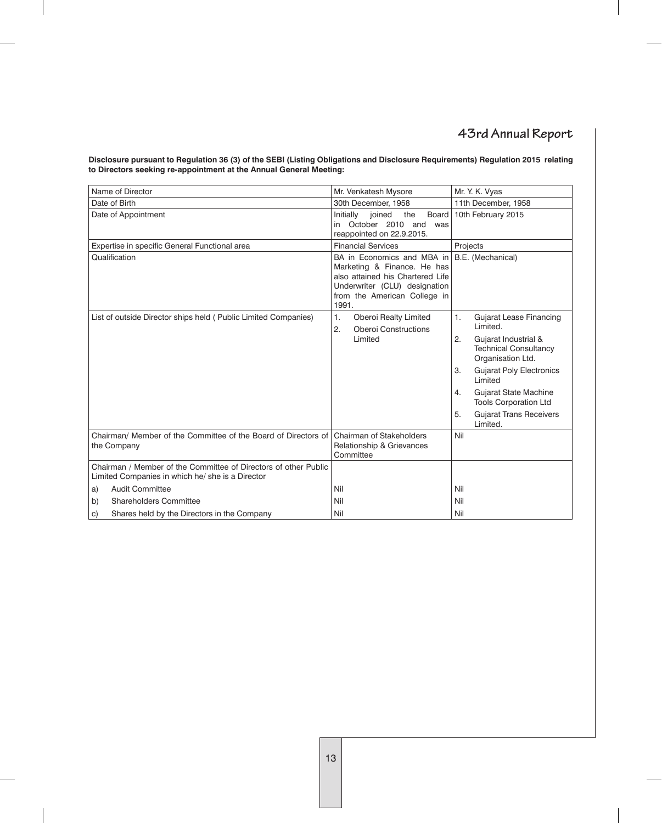**Disclosure pursuant to Regulation 36 (3) of the SEBI (Listing Obligations and Disclosure Requirements) Regulation 2015 relating to Directors seeking re-appointment at the Annual General Meeting:**

| Name of Director                                                                                                    | Mr. Venkatesh Mysore                                                                                                                                                    | Mr. Y. K. Vyas                                                                  |
|---------------------------------------------------------------------------------------------------------------------|-------------------------------------------------------------------------------------------------------------------------------------------------------------------------|---------------------------------------------------------------------------------|
| Date of Birth                                                                                                       | 30th December, 1958                                                                                                                                                     | 11th December, 1958                                                             |
| Date of Appointment                                                                                                 | Board<br>Initially<br>ioined<br>the<br>in October 2010 and was<br>reappointed on 22.9.2015.                                                                             | 10th February 2015                                                              |
| Expertise in specific General Functional area                                                                       | <b>Financial Services</b>                                                                                                                                               | Projects                                                                        |
| Qualification                                                                                                       | BA in Economics and MBA in<br>Marketing & Finance. He has<br>also attained his Chartered Life<br>Underwriter (CLU) designation<br>from the American College in<br>1991. | B.E. (Mechanical)                                                               |
| List of outside Director ships held (Public Limited Companies)                                                      | 1.<br>Oberoi Realty Limited<br>2.<br><b>Oberoi Constructions</b>                                                                                                        | <b>Gujarat Lease Financing</b><br>1.<br>Limited.                                |
|                                                                                                                     | Limited                                                                                                                                                                 | Gujarat Industrial &<br>2.<br><b>Technical Consultancy</b><br>Organisation Ltd. |
|                                                                                                                     |                                                                                                                                                                         | <b>Gujarat Poly Electronics</b><br>3.<br>Limited                                |
|                                                                                                                     |                                                                                                                                                                         | Gujarat State Machine<br>4.<br><b>Tools Corporation Ltd</b>                     |
|                                                                                                                     |                                                                                                                                                                         | <b>Gujarat Trans Receivers</b><br>5.<br>Limited.                                |
| Chairman/ Member of the Committee of the Board of Directors of<br>the Company                                       | Chairman of Stakeholders<br>Relationship & Grievances<br>Committee                                                                                                      | Nil                                                                             |
| Chairman / Member of the Committee of Directors of other Public<br>Limited Companies in which he/ she is a Director |                                                                                                                                                                         |                                                                                 |
| Audit Committee<br>a)                                                                                               | Nil                                                                                                                                                                     | Nil                                                                             |
| <b>Shareholders Committee</b><br>b)                                                                                 | Nil                                                                                                                                                                     | Nil                                                                             |
| Shares held by the Directors in the Company<br>C)                                                                   | Nil                                                                                                                                                                     | Nil                                                                             |